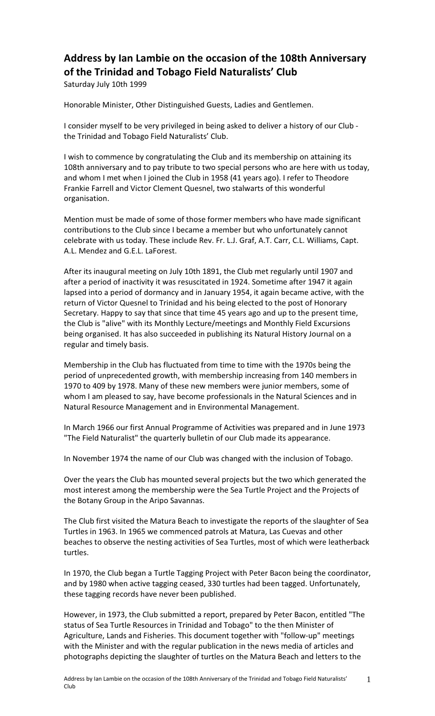## Address by Ian Lambie on the occasion of the 108th Anniversary of the Trinidad and Tobago Field Naturalists' Club

Saturday July 10th 1999

Honorable Minister, Other Distinguished Guests, Ladies and Gentlemen.

I consider myself to be very privileged in being asked to deliver a history of our Club the Trinidad and Tobago Field Naturalists' Club.

I wish to commence by congratulating the Club and its membership on attaining its 108th anniversary and to pay tribute to two special persons who are here with us today, and whom I met when I joined the Club in 1958 (41 years ago). I refer to Theodore Frankie Farrell and Victor Clement Quesnel, two stalwarts of this wonderful organisation.

Mention must be made of some of those former members who have made significant contributions to the Club since I became a member but who unfortunately cannot celebrate with us today. These include Rev. Fr. L.J. Graf, A.T. Carr, C.L. Williams, Capt. A.L. Mendez and G.E.L. LaForest.

After its inaugural meeting on July 10th 1891, the Club met regularly until 1907 and after a period of inactivity it was resuscitated in 1924. Sometime after 1947 it again lapsed into a period of dormancy and in January 1954, it again became active, with the return of Victor Quesnel to Trinidad and his being elected to the post of Honorary Secretary. Happy to say that since that time 45 years ago and up to the present time, the Club is "alive" with its Monthly Lecture/meetings and Monthly Field Excursions being organised. It has also succeeded in publishing its Natural History Journal on a regular and timely basis.

Membership in the Club has fluctuated from time to time with the 1970s being the period of unprecedented growth, with membership increasing from 140 members in 1970 to 409 by 1978. Many of these new members were junior members, some of whom I am pleased to say, have become professionals in the Natural Sciences and in Natural Resource Management and in Environmental Management.

In March 1966 our first Annual Programme of Activities was prepared and in June 1973 "The Field Naturalist" the quarterly bulletin of our Club made its appearance.

In November 1974 the name of our Club was changed with the inclusion of Tobago.

Over the years the Club has mounted several projects but the two which generated the most interest among the membership were the Sea Turtle Project and the Projects of the Botany Group in the Aripo Savannas.

The Club first visited the Matura Beach to investigate the reports of the slaughter of Sea Turtles in 1963. In 1965 we commenced patrols at Matura, Las Cuevas and other beaches to observe the nesting activities of Sea Turtles, most of which were leatherback turtles.

In 1970, the Club began a Turtle Tagging Project with Peter Bacon being the coordinator, and by 1980 when active tagging ceased, 330 turtles had been tagged. Unfortunately, these tagging records have never been published.

However, in 1973, the Club submitted a report, prepared by Peter Bacon, entitled "The status of Sea Turtle Resources in Trinidad and Tobago" to the then Minister of Agriculture, Lands and Fisheries. This document together with "follow-up" meetings with the Minister and with the regular publication in the news media of articles and photographs depicting the slaughter of turtles on the Matura Beach and letters to the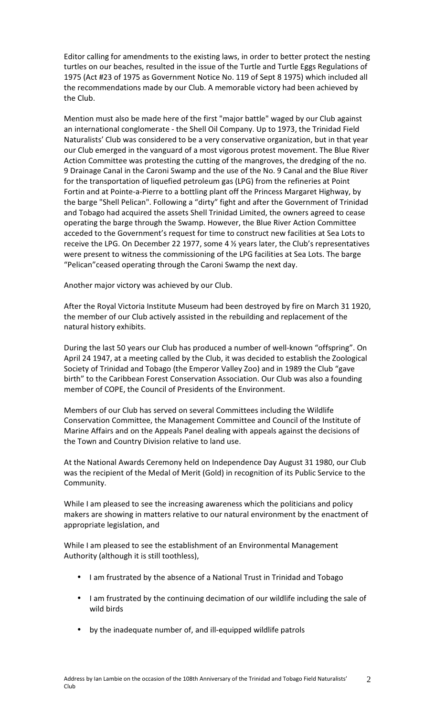Editor calling for amendments to the existing laws, in order to better protect the nesting turtles on our beaches, resulted in the issue of the Turtle and Turtle Eggs Regulations of 1975 (Act #23 of 1975 as Government Notice No. 119 of Sept 8 1975) which included all the recommendations made by our Club. A memorable victory had been achieved by the Club.

Mention must also be made here of the first "major battle" waged by our Club against an international conglomerate - the Shell Oil Company. Up to 1973, the Trinidad Field Naturalists' Club was considered to be a very conservative organization, but in that year our Club emerged in the vanguard of a most vigorous protest movement. The Blue River Action Committee was protesting the cutting of the mangroves, the dredging of the no. 9 Drainage Canal in the Caroni Swamp and the use of the No. 9 Canal and the Blue River for the transportation of liquefied petroleum gas (LPG) from the refineries at Point Fortin and at Pointe-a-Pierre to a bottling plant off the Princess Margaret Highway, by the barge "Shell Pelican". Following a "dirty" fight and after the Government of Trinidad and Tobago had acquired the assets Shell Trinidad Limited, the owners agreed to cease operating the barge through the Swamp. However, the Blue River Action Committee acceded to the Government's request for time to construct new facilities at Sea Lots to receive the LPG. On December 22 1977, some 4 ½ years later, the Club's representatives were present to witness the commissioning of the LPG facilities at Sea Lots. The barge "Pelican" ceased operating through the Caroni Swamp the next day.

Another major victory was achieved by our Club.

After the Royal Victoria Institute Museum had been destroyed by fire on March 31 1920, the member of our Club actively assisted in the rebuilding and replacement of the natural history exhibits.

During the last 50 years our Club has produced a number of well-known "offspring". On April 24 1947, at a meeting called by the Club, it was decided to establish the Zoological Society of Trinidad and Tobago (the Emperor Valley Zoo) and in 1989 the Club "gave birth" to the Caribbean Forest Conservation Association. Our Club was also a founding member of COPE, the Council of Presidents of the Environment.

Members of our Club has served on several Committees including the Wildlife Conservation Committee, the Management Committee and Council of the Institute of Marine Affairs and on the Appeals Panel dealing with appeals against the decisions of the Town and Country Division relative to land use.

At the National Awards Ceremony held on Independence Day August 31 1980, our Club was the recipient of the Medal of Merit (Gold) in recognition of its Public Service to the Community.

While I am pleased to see the increasing awareness which the politicians and policy makers are showing in matters relative to our natural environment by the enactment of appropriate legislation, and

While I am pleased to see the establishment of an Environmental Management Authority (although it is still toothless),

- I am frustrated by the absence of a National Trust in Trinidad and Tobago
- I am frustrated by the continuing decimation of our wildlife including the sale of wild birds
- by the inadequate number of, and ill-equipped wildlife patrols